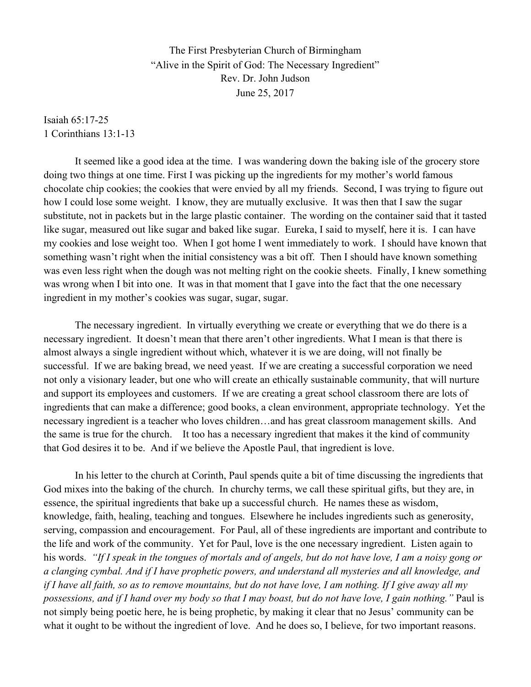The First Presbyterian Church of Birmingham "Alive in the Spirit of God: The Necessary Ingredient" Rev. Dr. John Judson June 25, 2017

Isaiah 65:17-25 1 Corinthians 13:1-13

It seemed like a good idea at the time. I was wandering down the baking isle of the grocery store doing two things at one time. First I was picking up the ingredients for my mother's world famous chocolate chip cookies; the cookies that were envied by all my friends. Second, I was trying to figure out how I could lose some weight. I know, they are mutually exclusive. It was then that I saw the sugar substitute, not in packets but in the large plastic container. The wording on the container said that it tasted like sugar, measured out like sugar and baked like sugar. Eureka, I said to myself, here it is. I can have my cookies and lose weight too. When I got home I went immediately to work. I should have known that something wasn't right when the initial consistency was a bit off. Then I should have known something was even less right when the dough was not melting right on the cookie sheets. Finally, I knew something was wrong when I bit into one. It was in that moment that I gave into the fact that the one necessary ingredient in my mother's cookies was sugar, sugar, sugar.

The necessary ingredient. In virtually everything we create or everything that we do there is a necessary ingredient. It doesn't mean that there aren't other ingredients. What I mean is that there is almost always a single ingredient without which, whatever it is we are doing, will not finally be successful. If we are baking bread, we need yeast. If we are creating a successful corporation we need not only a visionary leader, but one who will create an ethically sustainable community, that will nurture and support its employees and customers. If we are creating a great school classroom there are lots of ingredients that can make a difference; good books, a clean environment, appropriate technology. Yet the necessary ingredient is a teacher who loves children…and has great classroom management skills. And the same is true for the church. It too has a necessary ingredient that makes it the kind of community that God desires it to be. And if we believe the Apostle Paul, that ingredient is love.

In his letter to the church at Corinth, Paul spends quite a bit of time discussing the ingredients that God mixes into the baking of the church. In churchy terms, we call these spiritual gifts, but they are, in essence, the spiritual ingredients that bake up a successful church. He names these as wisdom, knowledge, faith, healing, teaching and tongues. Elsewhere he includes ingredients such as generosity, serving, compassion and encouragement. For Paul, all of these ingredients are important and contribute to the life and work of the community. Yet for Paul, love is the one necessary ingredient. Listen again to his words. *"If I speak in the tongues of mortals and of angels, but do not have love, I am a noisy gong or a clanging cymbal. And if I have prophetic powers, and understand all mysteries and all knowledge, and if I have all faith, so as to remove mountains, but do not have love, I am nothing. If I give away all my possessions, and if I hand over my body so that I may boast, but do not have love, I gain nothing."* Paul is not simply being poetic here, he is being prophetic, by making it clear that no Jesus' community can be what it ought to be without the ingredient of love. And he does so, I believe, for two important reasons.